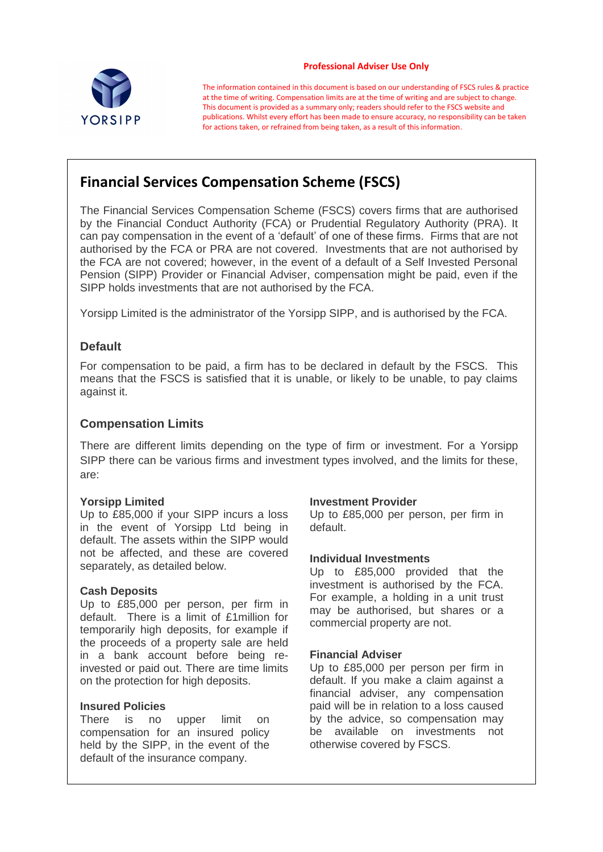

#### **Professional Adviser Use Only**

The information contained in this document is based on our understanding of FSCS rules & practice at the time of writing. Compensation limits are at the time of writing and are subject to change. This document is provided as a summary only; readers should refer to the FSCS website and publications. Whilst every effort has been made to ensure accuracy, no responsibility can be taken for actions taken, or refrained from being taken, as a result of this information.

# **Financial Services Compensation Scheme (FSCS)**

The Financial Services Compensation Scheme (FSCS) covers firms that are authorised by the Financial Conduct Authority (FCA) or Prudential Regulatory Authority (PRA). It can pay compensation in the event of a 'default' of one of these firms. Firms that are not authorised by the FCA or PRA are not covered. Investments that are not authorised by the FCA are not covered; however, in the event of a default of a Self Invested Personal Pension (SIPP) Provider or Financial Adviser, compensation might be paid, even if the SIPP holds investments that are not authorised by the FCA.

Yorsipp Limited is the administrator of the Yorsipp SIPP, and is authorised by the FCA.

# **Default**

For compensation to be paid, a firm has to be declared in default by the FSCS. This means that the FSCS is satisfied that it is unable, or likely to be unable, to pay claims against it.

# **Compensation Limits**

There are different limits depending on the type of firm or investment. For a Yorsipp SIPP there can be various firms and investment types involved, and the limits for these, are:

### **Yorsipp Limited**

Up to £85,000 if your SIPP incurs a loss in the event of Yorsipp Ltd being in default. The assets within the SIPP would not be affected, and these are covered separately, as detailed below.

### **Cash Deposits**

Up to £85,000 per person, per firm in default. There is a limit of £1million for temporarily high deposits, for example if the proceeds of a property sale are held in a bank account before being reinvested or paid out. There are time limits on the protection for high deposits.

### **Insured Policies**

There is no upper limit on compensation for an insured policy held by the SIPP, in the event of the default of the insurance company.

### **Investment Provider**

Up to £85,000 per person, per firm in default.

### **Individual Investments**

Up to £85,000 provided that the investment is authorised by the FCA. For example, a holding in a unit trust may be authorised, but shares or a commercial property are not.

### **Financial Adviser**

Up to £85,000 per person per firm in default. If you make a claim against a financial adviser, any compensation paid will be in relation to a loss caused by the advice, so compensation may be available on investments not otherwise covered by FSCS.